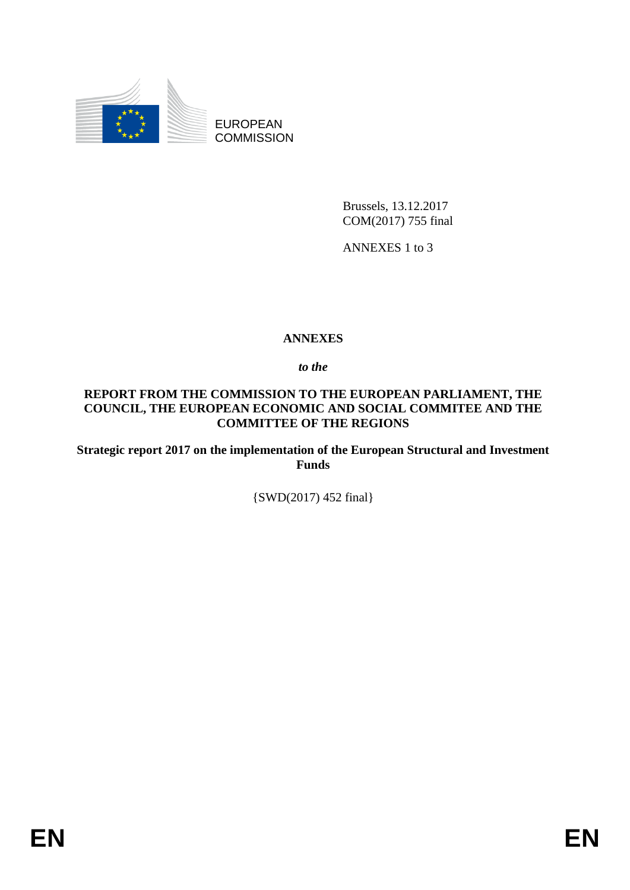

EUROPEAN **COMMISSION** 

> Brussels, 13.12.2017 COM(2017) 755 final

ANNEXES 1 to 3

# **ANNEXES**

*to the* 

## **REPORT FROM THE COMMISSION TO THE EUROPEAN PARLIAMENT, THE COUNCIL, THE EUROPEAN ECONOMIC AND SOCIAL COMMITEE AND THE COMMITTEE OF THE REGIONS**

**Strategic report 2017 on the implementation of the European Structural and Investment Funds**

{SWD(2017) 452 final}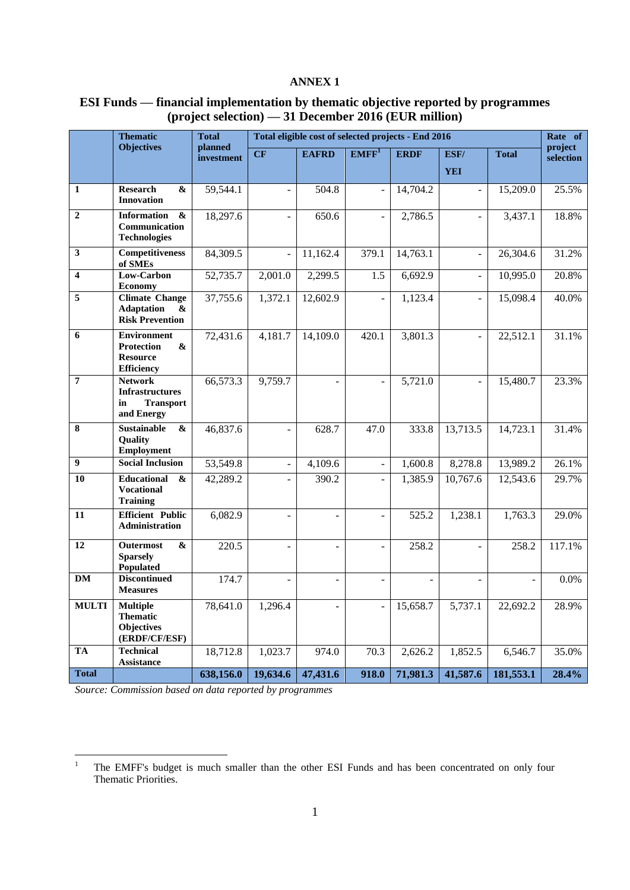### **ANNEX 1**

| <b>ESI Funds</b> — financial implementation by thematic objective reported by programmes |
|------------------------------------------------------------------------------------------|
| $\frac{1}{2}$ (project selection) — 31 December 2016 (EUR million)                       |

|                         | <b>Thematic</b><br><b>Total</b>                                                                      |                       |                |                | Total eligible cost of selected projects - End 2016 |                |                |              | Rate of              |
|-------------------------|------------------------------------------------------------------------------------------------------|-----------------------|----------------|----------------|-----------------------------------------------------|----------------|----------------|--------------|----------------------|
|                         | <b>Objectives</b>                                                                                    | planned<br>investment | CF             | <b>EAFRD</b>   | EMFF <sup>1</sup>                                   | <b>ERDF</b>    | ESF/           | <b>Total</b> | project<br>selection |
|                         |                                                                                                      |                       |                |                |                                                     |                | <b>YEI</b>     |              |                      |
| $\mathbf{1}$            | <b>Research</b><br>&<br><b>Innovation</b>                                                            | 59,544.1              |                | 504.8          |                                                     | 14,704.2       | $\overline{a}$ | 15,209.0     | 25.5%                |
| $\overline{2}$          | <b>Information</b><br>$\pmb{\&}$<br>Communication<br><b>Technologies</b>                             | 18,297.6              |                | 650.6          | $\overline{\phantom{a}}$                            | 2,786.5        | $\overline{a}$ | 3,437.1      | 18.8%                |
| $\overline{\mathbf{3}}$ | Competitiveness<br>of SMEs                                                                           | 84,309.5              |                | 11,162.4       | 379.1                                               | 14,763.1       | $\frac{1}{2}$  | 26,304.6     | 31.2%                |
| $\overline{\mathbf{4}}$ | Low-Carbon<br><b>Economy</b>                                                                         | 52,735.7              | 2,001.0        | 2,299.5        | 1.5                                                 | 6,692.9        | $\overline{a}$ | 10,995.0     | 20.8%                |
| 5                       | <b>Climate Change</b><br><b>Adaptation</b><br>&<br><b>Risk Prevention</b>                            | 37,755.6              | 1,372.1        | 12,602.9       |                                                     | 1,123.4        |                | 15,098.4     | 40.0%                |
| 6                       | <b>Environment</b><br><b>Protection</b><br>$\boldsymbol{\&}$<br><b>Resource</b><br><b>Efficiency</b> | 72,431.6              | 4,181.7        | 14,109.0       | 420.1                                               | 3,801.3        |                | 22,512.1     | 31.1%                |
| $\overline{7}$          | <b>Network</b><br><b>Infrastructures</b><br><b>Transport</b><br>in<br>and Energy                     | 66,573.3              | 9,759.7        |                | $\bar{\phantom{a}}$                                 | 5,721.0        | ÷,             | 15,480.7     | 23.3%                |
| $\overline{\mathbf{8}}$ | <b>Sustainable</b><br>&<br>Quality<br><b>Employment</b>                                              | 46,837.6              | ÷,             | 628.7          | 47.0                                                | 333.8          | 13,713.5       | 14,723.1     | 31.4%                |
| $\overline{9}$          | <b>Social Inclusion</b>                                                                              | 53,549.8              | ÷              | 4,109.6        | $\blacksquare$                                      | 1,600.8        | 8,278.8        | 13,989.2     | 26.1%                |
| 10                      | Educational<br>&<br><b>Vocational</b><br><b>Training</b>                                             | 42,289.2              |                | 390.2          |                                                     | 1,385.9        | 10,767.6       | 12,543.6     | 29.7%                |
| 11                      | <b>Efficient Public</b><br>Administration                                                            | 6,082.9               |                |                | ÷,                                                  | 525.2          | 1,238.1        | 1,763.3      | 29.0%                |
| 12                      | <b>Outermost</b><br>&<br><b>Sparsely</b><br>Populated                                                | 220.5                 | ۳              |                | $\overline{\phantom{a}}$                            | 258.2          | $\overline{a}$ | 258.2        | 117.1%               |
| <b>DM</b>               | <b>Discontinued</b><br><b>Measures</b>                                                               | 174.7                 | $\blacksquare$ | $\blacksquare$ | $\blacksquare$                                      | $\blacksquare$ | $\blacksquare$ | ÷,           | 0.0%                 |
| <b>MULTI</b>            | <b>Multiple</b><br><b>Thematic</b><br>Objectives<br>(ERDF/CF/ESF)                                    | 78,641.0              | 1,296.4        |                | $\overline{\phantom{a}}$                            | 15,658.7       | 5,737.1        | 22,692.2     | 28.9%                |
| TA                      | <b>Technical</b><br>Assistance                                                                       | 18,712.8              | 1,023.7        | 974.0          | 70.3                                                | 2,626.2        | 1,852.5        | 6,546.7      | 35.0%                |
| <b>Total</b>            |                                                                                                      | 638,156.0             | 19,634.6       | 47,431.6       | 918.0                                               | 71,981.3       | 41,587.6       | 181,553.1    | 28.4%                |

*Source: Commission based on data reported by programmes*

 $\,1\,$ <sup>1</sup> The EMFF's budget is much smaller than the other ESI Funds and has been concentrated on only four Thematic Priorities.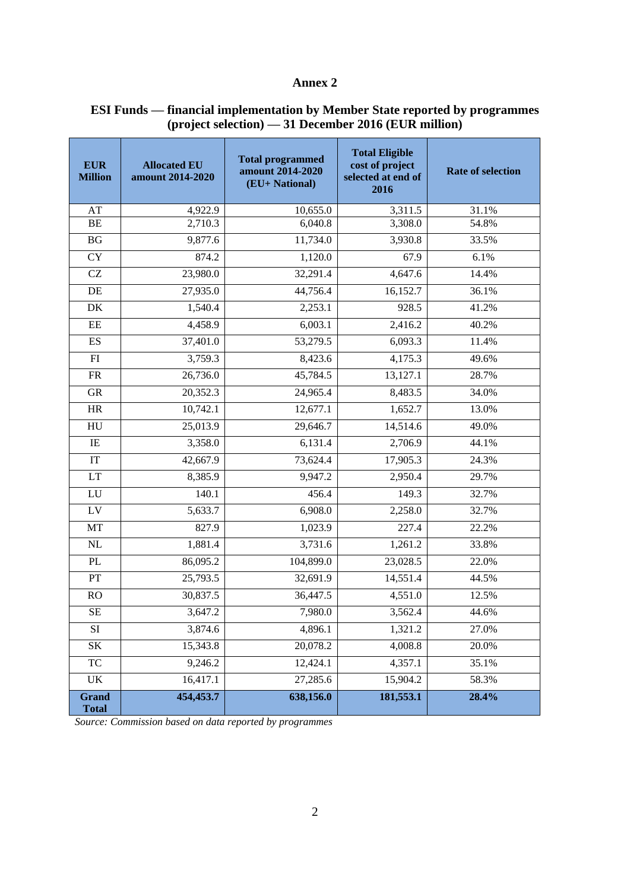### **Annex 2**

| <b>EUR</b><br><b>Million</b> | <b>Allocated EU</b><br>amount 2014-2020 | <b>Total programmed</b><br>amount 2014-2020<br>(EU+ National) | <b>Total Eligible</b><br>cost of project<br>selected at end of<br>2016 | <b>Rate of selection</b> |
|------------------------------|-----------------------------------------|---------------------------------------------------------------|------------------------------------------------------------------------|--------------------------|
| AT                           | 4,922.9                                 | 10,655.0                                                      | 3,311.5                                                                | 31.1%                    |
| BE                           | 2,710.3                                 | 6,040.8                                                       | 3,308.0                                                                | 54.8%                    |
| BG                           | 9,877.6                                 | 11,734.0                                                      | 3,930.8                                                                | 33.5%                    |
| <b>CY</b>                    | 874.2                                   | 1,120.0                                                       | 67.9                                                                   | 6.1%                     |
| $\operatorname{CZ}$          | 23,980.0                                | 32,291.4                                                      | 4,647.6                                                                | 14.4%                    |
| $\rm DE$                     | 27,935.0                                | 44,756.4                                                      | 16,152.7                                                               | 36.1%                    |
| DK                           | 1,540.4                                 | 2,253.1                                                       | 928.5                                                                  | 41.2%                    |
| $\rm{EE}$                    | 4,458.9                                 | 6,003.1                                                       | 2,416.2                                                                | 40.2%                    |
| ES                           | 37,401.0                                | 53,279.5                                                      | 6,093.3                                                                | 11.4%                    |
| FI                           | 3,759.3                                 | 8,423.6                                                       | 4,175.3                                                                | 49.6%                    |
| FR                           | 26,736.0                                | 45,784.5                                                      | 13,127.1                                                               | 28.7%                    |
| ${\rm GR}$                   | 20,352.3                                | 24,965.4                                                      | 8,483.5                                                                | 34.0%                    |
| HR                           | 10,742.1                                | 12,677.1                                                      | 1,652.7                                                                | 13.0%                    |
| HU                           | 25,013.9                                | 29,646.7                                                      | 14,514.6                                                               | 49.0%                    |
| $\rm IE$                     | 3,358.0                                 | 6,131.4                                                       | 2,706.9                                                                | 44.1%                    |
| $\ensuremath{\mathsf{IT}}$   | 42,667.9                                | 73,624.4                                                      | 17,905.3                                                               | 24.3%                    |
| LT                           | 8,385.9                                 | 9,947.2                                                       | 2,950.4                                                                | 29.7%                    |
| ${\rm LU}$                   | 140.1                                   | 456.4                                                         | 149.3                                                                  | 32.7%                    |
| ${\rm LV}$                   | 5,633.7                                 | 6,908.0                                                       | 2,258.0                                                                | 32.7%                    |
| MT                           | 827.9                                   | 1,023.9                                                       | 227.4                                                                  | 22.2%                    |
| $\rm NL$                     | 1,881.4                                 | 3,731.6                                                       | 1,261.2                                                                | 33.8%                    |
| $\mathbf{PL}$                | 86,095.2                                | 104,899.0                                                     | 23,028.5                                                               | 22.0%                    |
| PT                           | 25,793.5                                | 32,691.9                                                      | 14,551.4                                                               | 44.5%                    |
| RO                           | 30,837.5                                | 36,447.5                                                      | 4,551.0                                                                | 12.5%                    |
| SE                           | 3,647.2                                 | 7,980.0                                                       | 3,562.4                                                                | 44.6%                    |
| SI                           | 3,874.6                                 | 4,896.1                                                       | 1,321.2                                                                | 27.0%                    |
| SK                           | 15,343.8                                | 20,078.2                                                      | 4,008.8                                                                | 20.0%                    |
| TC                           | 9,246.2                                 | 12,424.1                                                      | 4,357.1                                                                | 35.1%                    |
| UK                           | 16,417.1                                | 27,285.6                                                      | 15,904.2                                                               | 58.3%                    |
| <b>Grand</b><br><b>Total</b> | 454,453.7                               | 638,156.0                                                     | 181,553.1                                                              | 28.4%                    |

#### **ESI Funds — financial implementation by Member State reported by programmes (project selection) — 31 December 2016 (EUR million)**

*Source: Commission based on data reported by programmes*